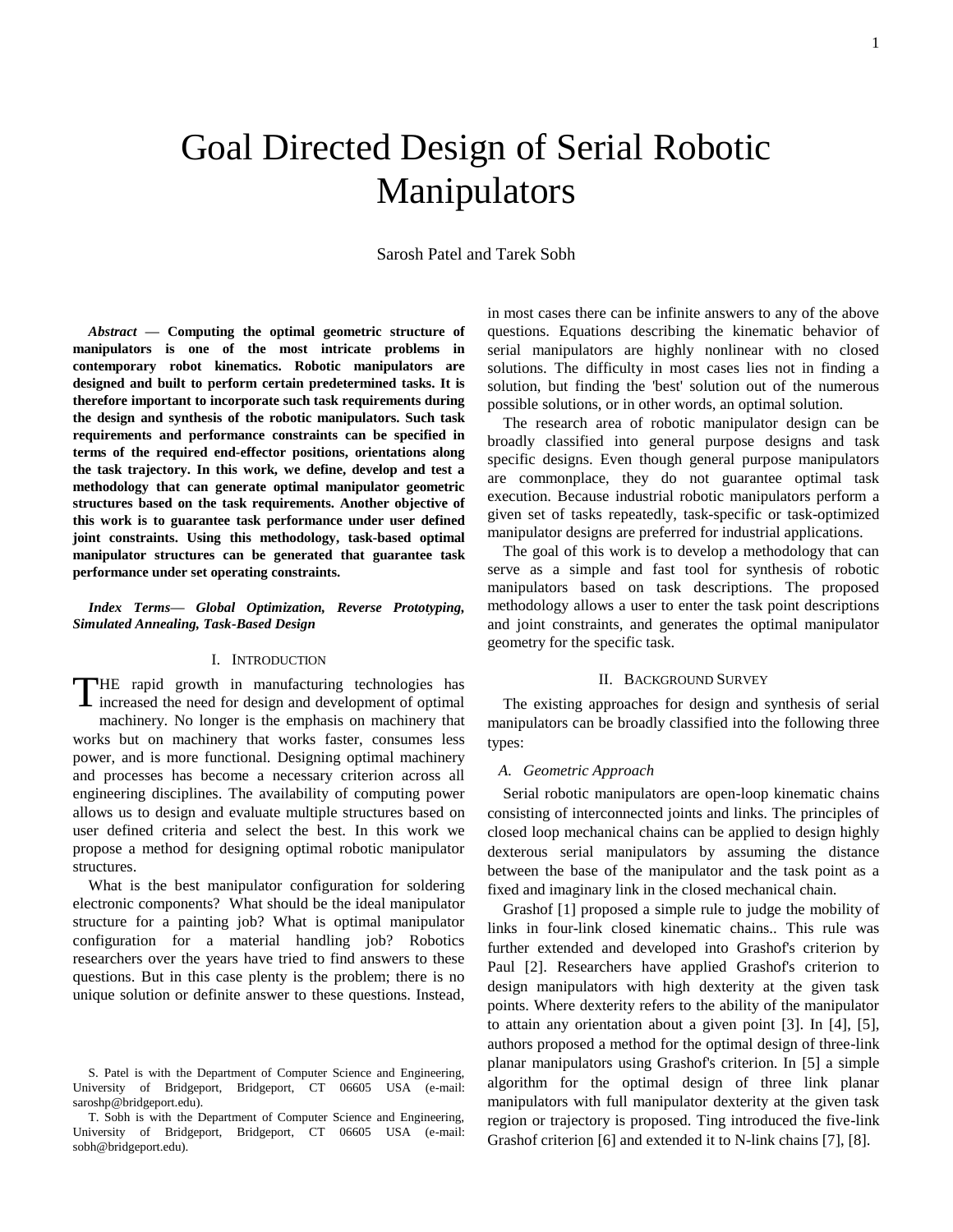# Goal Directed Design of Serial Robotic Manipulators

Sarosh Patel and Tarek Sobh

*Abstract* **— Computing the optimal geometric structure of manipulators is one of the most intricate problems in contemporary robot kinematics. Robotic manipulators are designed and built to perform certain predetermined tasks. It is therefore important to incorporate such task requirements during the design and synthesis of the robotic manipulators. Such task requirements and performance constraints can be specified in terms of the required end-effector positions, orientations along the task trajectory. In this work, we define, develop and test a methodology that can generate optimal manipulator geometric structures based on the task requirements. Another objective of this work is to guarantee task performance under user defined joint constraints. Using this methodology, task-based optimal manipulator structures can be generated that guarantee task performance under set operating constraints.**

*Index Terms— Global Optimization, Reverse Prototyping, Simulated Annealing, Task-Based Design*

# I. INTRODUCTION

THE rapid growth in manufacturing technologies has increased the need for design and development of optimal increased the need for design and development of optimal machinery. No longer is the emphasis on machinery that works but on machinery that works faster, consumes less power, and is more functional. Designing optimal machinery and processes has become a necessary criterion across all engineering disciplines. The availability of computing power allows us to design and evaluate multiple structures based on user defined criteria and select the best. In this work we propose a method for designing optimal robotic manipulator structures.

What is the best manipulator configuration for soldering electronic components? What should be the ideal manipulator structure for a painting job? What is optimal manipulator configuration for a material handling job? Robotics researchers over the years have tried to find answers to these questions. But in this case plenty is the problem; there is no unique solution or definite answer to these questions. Instead, in most cases there can be infinite answers to any of the above questions. Equations describing the kinematic behavior of serial manipulators are highly nonlinear with no closed solutions. The difficulty in most cases lies not in finding a solution, but finding the 'best' solution out of the numerous possible solutions, or in other words, an optimal solution.

The research area of robotic manipulator design can be broadly classified into general purpose designs and task specific designs. Even though general purpose manipulators are commonplace, they do not guarantee optimal task execution. Because industrial robotic manipulators perform a given set of tasks repeatedly, task-specific or task-optimized manipulator designs are preferred for industrial applications.

The goal of this work is to develop a methodology that can serve as a simple and fast tool for synthesis of robotic manipulators based on task descriptions. The proposed methodology allows a user to enter the task point descriptions and joint constraints, and generates the optimal manipulator geometry for the specific task.

# II. BACKGROUND SURVEY

The existing approaches for design and synthesis of serial manipulators can be broadly classified into the following three types:

#### *A. Geometric Approach*

Serial robotic manipulators are open-loop kinematic chains consisting of interconnected joints and links. The principles of closed loop mechanical chains can be applied to design highly dexterous serial manipulators by assuming the distance between the base of the manipulator and the task point as a fixed and imaginary link in the closed mechanical chain.

Grashof [\[1\]](#page-5-0) proposed a simple rule to judge the mobility of links in four-link closed kinematic chains.. This rule was further extended and developed into Grashof's criterion by Paul [\[2\]](#page-5-1). Researchers have applied Grashof's criterion to design manipulators with high dexterity at the given task points. Where dexterity refers to the ability of the manipulator to attain any orientation about a given point [\[3\]](#page-5-2). In [\[4\]](#page-5-3), [\[5\]](#page-5-4), authors proposed a method for the optimal design of three-link planar manipulators using Grashof's criterion. In [\[5\]](#page-5-4) a simple algorithm for the optimal design of three link planar manipulators with full manipulator dexterity at the given task region or trajectory is proposed. Ting introduced the five-link Grashof criterion [\[6\]](#page-5-5) and extended it to N-link chains [\[7\]](#page-5-6), [\[8\]](#page-5-7).

S. Patel is with the Department of Computer Science and Engineering, University of Bridgeport, Bridgeport, CT 06605 USA (e-mail: saroshp@bridgeport.edu).

T. Sobh is with the Department of Computer Science and Engineering, University of Bridgeport, Bridgeport, CT 06605 USA (e-mail: sobh@bridgeport.edu).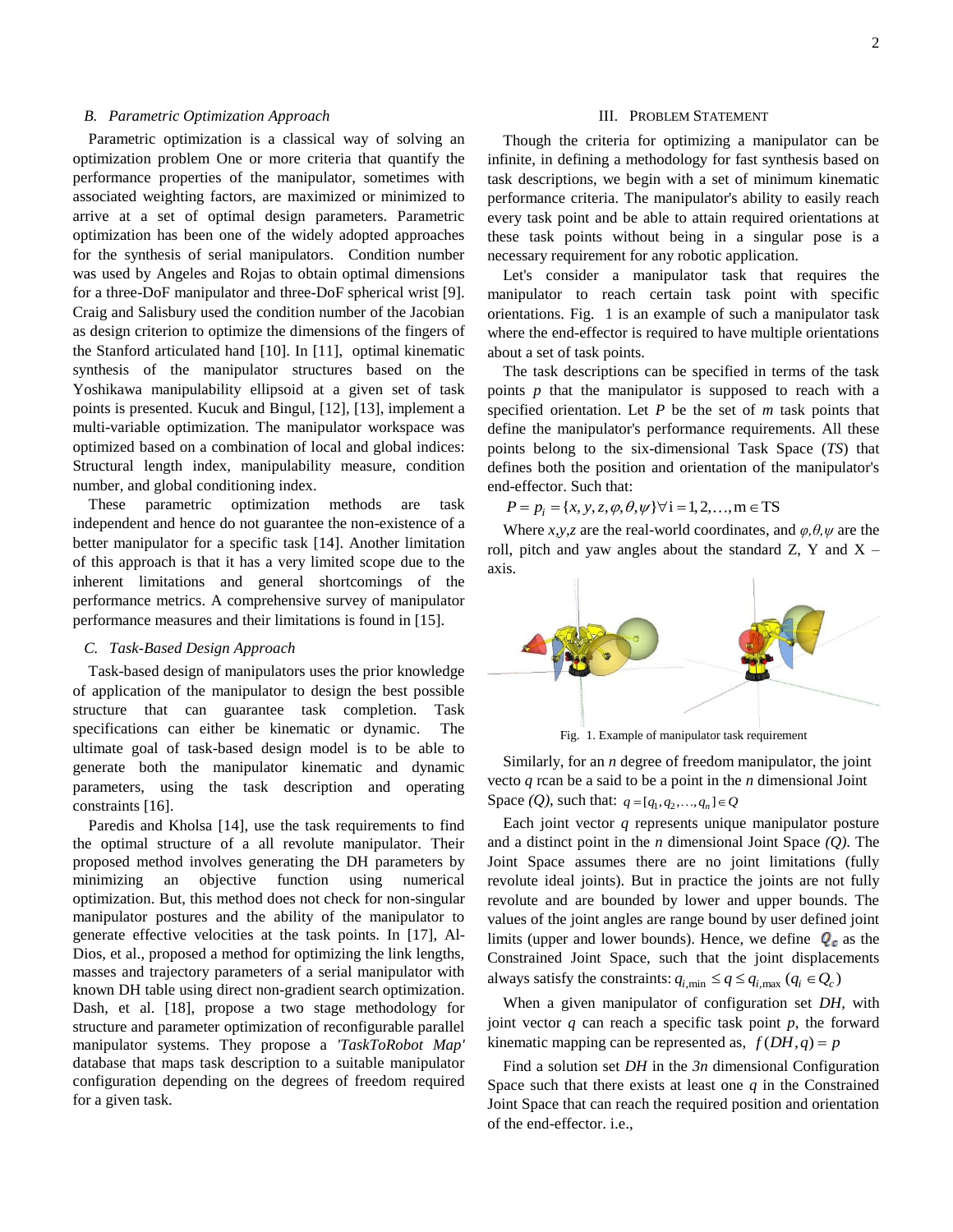#### *B. Parametric Optimization Approach*

Parametric optimization is a classical way of solving an optimization problem One or more criteria that quantify the performance properties of the manipulator, sometimes with associated weighting factors, are maximized or minimized to arrive at a set of optimal design parameters. Parametric optimization has been one of the widely adopted approaches for the synthesis of serial manipulators. Condition number was used by Angeles and Rojas to obtain optimal dimensions for a three-DoF manipulator and three-DoF spherical wrist [\[9\]](#page-5-8). Craig and Salisbury used the condition number of the Jacobian as design criterion to optimize the dimensions of the fingers of the Stanford articulated hand [\[10\]](#page-5-9). In [\[11\]](#page-5-10), optimal kinematic synthesis of the manipulator structures based on the Yoshikawa manipulability ellipsoid at a given set of task points is presented. Kucuk and Bingul, [\[12\]](#page-5-11), [\[13\]](#page-5-12), implement a multi-variable optimization. The manipulator workspace was optimized based on a combination of local and global indices: Structural length index, manipulability measure, condition number, and global conditioning index.

These parametric optimization methods are task independent and hence do not guarantee the non-existence of a better manipulator for a specific task [\[14\]](#page-5-13). Another limitation of this approach is that it has a very limited scope due to the inherent limitations and general shortcomings of the performance metrics. A comprehensive survey of manipulator performance measures and their limitations is found in [\[15\]](#page-5-14).

#### *C. Task-Based Design Approach*

Task-based design of manipulators uses the prior knowledge of application of the manipulator to design the best possible structure that can guarantee task completion. Task specifications can either be kinematic or dynamic. The ultimate goal of task-based design model is to be able to generate both the manipulator kinematic and dynamic parameters, using the task description and operating constraints [\[16\]](#page-5-15).

Paredis and Kholsa [\[14\]](#page-5-13), use the task requirements to find the optimal structure of a all revolute manipulator. Their proposed method involves generating the DH parameters by minimizing an objective function using numerical optimization. But, this method does not check for non-singular manipulator postures and the ability of the manipulator to generate effective velocities at the task points. In [\[17\]](#page-5-16), Al-Dios, et al., proposed a method for optimizing the link lengths, masses and trajectory parameters of a serial manipulator with known DH table using direct non-gradient search optimization. Dash, et al. [\[18\]](#page-5-17), propose a two stage methodology for structure and parameter optimization of reconfigurable parallel manipulator systems. They propose a *'TaskToRobot Map'*  database that maps task description to a suitable manipulator configuration depending on the degrees of freedom required for a given task.

## III. PROBLEM STATEMENT

Though the criteria for optimizing a manipulator can be infinite, in defining a methodology for fast synthesis based on task descriptions, we begin with a set of minimum kinematic performance criteria. The manipulator's ability to easily reach every task point and be able to attain required orientations at these task points without being in a singular pose is a necessary requirement for any robotic application.

Let's consider a manipulator task that requires the manipulator to reach certain task point with specific orientations. [Fig. 1](#page-1-0) is an example of such a manipulator task where the end-effector is required to have multiple orientations about a set of task points.

The task descriptions can be specified in terms of the task points *p* that the manipulator is supposed to reach with a specified orientation. Let *P* be the set of *m* task points that define the manipulator's performance requirements. All these points belong to the six-dimensional Task Space (*TS*) that defines both the position and orientation of the manipulator's end-effector. Such that: *P*=  $p_i$  = { $x, y, z, \varphi, \theta, \psi$ } $\forall i = 1, 2, ..., m \in TS$ 

Where *x*, *y*, *z* are the real-world coordinates, and  $\varphi$ ,  $\theta$ ,  $\psi$  are the roll, pitch and yaw angles about the standard  $Z$ , Y and  $X$ axis.



Fig. 1. Example of manipulator task requirement

<span id="page-1-0"></span>Similarly, for an *n* degree of freedom manipulator, the joint vecto *q* rcan be a said to be a point in the *n* dimensional Joint Space (*Q*), such that:  $q = [q_1, q_2, ..., q_n] \in Q$ 

Each joint vector *q* represents unique manipulator posture and a distinct point in the *n* dimensional Joint Space *(Q)*. The Joint Space assumes there are no joint limitations (fully revolute ideal joints). But in practice the joints are not fully revolute and are bounded by lower and upper bounds. The values of the joint angles are range bound by user defined joint limits (upper and lower bounds). Hence, we define  $Q_c$  as the Constrained Joint Space, such that the joint displacements always satisfy the constraints:  $q_{i,\text{min}} \leq q \leq q_{i,\text{max}} ( q_i \in Q_c )$ 

When a given manipulator of configuration set *DH,* with joint vector *q* can reach a specific task point *p*, the forward kinematic mapping can be represented as,  $f(DH, q) = p$ 

Find a solution set *DH* in the *3n* dimensional Configuration Space such that there exists at least one  $q$  in the Constrained Joint Space that can reach the required position and orientation of the end-effector. i.e.,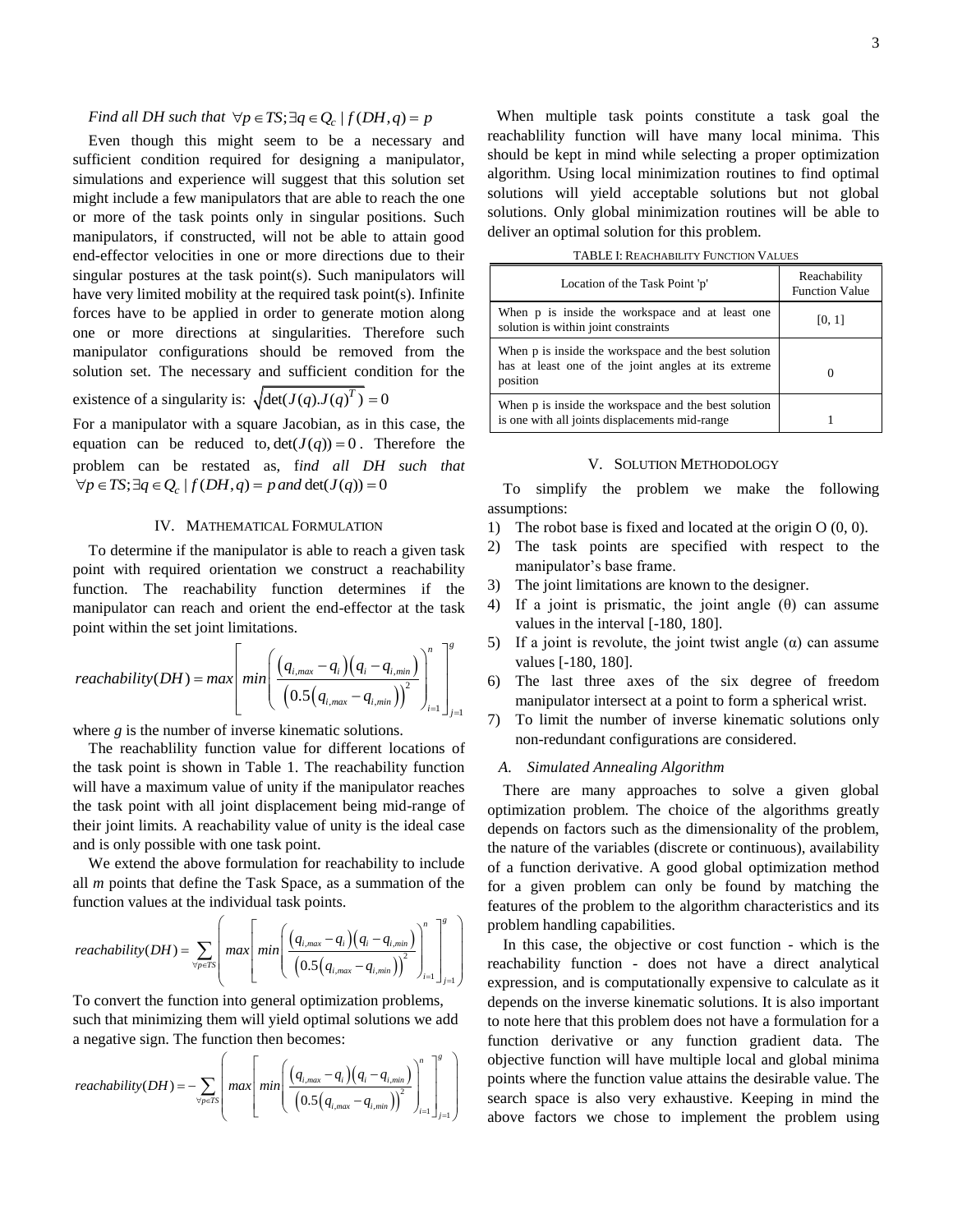# *Find all DH such that*  $\forall p \in TS; \exists q \in Q_c \mid f(DH, q) = p$

Even though this might seem to be a necessary and sufficient condition required for designing a manipulator, simulations and experience will suggest that this solution set might include a few manipulators that are able to reach the one or more of the task points only in singular positions. Such manipulators, if constructed, will not be able to attain good end-effector velocities in one or more directions due to their singular postures at the task point(s). Such manipulators will have very limited mobility at the required task point(s). Infinite forces have to be applied in order to generate motion along one or more directions at singularities. Therefore such manipulator configurations should be removed from the solution set. The necessary and sufficient condition for the

existence of a singularity is: 
$$
\sqrt{\det(J(q)J(q)^T)} = 0
$$

For a manipulator with a square Jacobian, as in this case, the equation can be reduced to,  $det(J(q)) = 0$ . Therefore the problem can be restated as, find all DH such that  $\forall p \in TS; \exists q \in Q_c | f(DH, q) = p$  and  $\det(J(q)) = 0$ 

#### IV. MATHEMATICAL FORMULATION

To determine if the manipulator is able to reach a given task point with required orientation we construct a reachability function. The reachability function determines if the manipulator can reach and orient the end-effector at the task point within the set joint limitations.

\n (1) 
$$
\text{ the function of } \mathbf{r} \text{ is the function of } \mathbf{r} \text{ is the function of } \mathbf{r} \text{ is the function of } \mathbf{r} \text{ is the function of } \mathbf{r} \text{ is the function of } \mathbf{r} \text{ is the function of } \mathbf{r} \text{ is the function of } \mathbf{r} \text{ is the function of } \mathbf{r} \text{ is the function of } \mathbf{r} \text{ is the function of } \mathbf{r} \text{ is the function of } \mathbf{r} \text{ is the function of } \mathbf{r} \text{ is the function of } \mathbf{r} \text{ is the function of } \mathbf{r} \text{ is the function of } \mathbf{r} \text{ is the function of } \mathbf{r} \text{ is the function of } \mathbf{r} \text{ is the function of } \mathbf{r} \text{ is the function of } \mathbf{r} \text{ is the function of } \mathbf{r} \text{ is the function of } \mathbf{r} \text{ is the function of } \mathbf{r} \text{ is the function of } \mathbf{r} \text{ is the function of } \mathbf{r} \text{ is the function of } \mathbf{r} \text{ is the function of } \mathbf{r} \text{ is the function of } \mathbf{r} \text{ is the function of } \mathbf{r} \text{ is the function of } \mathbf{r} \text{ is the function of } \mathbf{r} \text{ is the function of } \mathbf{r} \text{ is the function of } \mathbf{r} \text{ is the function of } \mathbf{r} \text{ is the function of } \mathbf{r} \text{ is the function of } \mathbf{r} \text{ is the function of } \mathbf{r} \text{ is the function of } \mathbf{r} \text{ is the function of } \mathbf{r} \text{ is the function of } \mathbf{r} \text{ is the function of } \mathbf{r} \text{ is the function of } \mathbf{r} \text{ is the function of } \mathbf{r} \text{ is the function of } \mathbf{r} \text{ is the function of } \mathbf{r} \text{ is the function of } \mathbf{r} \text{ is the function of } \mathbf{r} \text{ is the function of } \mathbf{r} \text{ is the function of } \mathbf{r} \text{ is the function of } \mathbf{r} \text{ is the function of } \mathbf{r} \text{ is the function of } \mathbf{r} \text{ is the function of } \mathbf{r} \text{ is the function of } \mathbf{r} \
$$

where *g* is the number of inverse kinematic solutions.

The reachablility function value for different locations of the task point is shown in Table 1. The reachability function will have a maximum value of unity if the manipulator reaches the task point with all joint displacement being mid-range of their joint limits. A reachability value of unity is the ideal case and is only possible with one task point.

We extend the above formulation for reachability to include

all *m* points that define the Task Space, as a summation of the function values at the individual task points.\n\n
$$
reachability(DH) = \sum_{\forall p \in TS} \left( \max \left[ \min \left( \frac{(q_{i,max} - q_i)(q_i - q_{i,min})}{(0.5(q_{i,max} - q_{i,min}))^2} \right)_{i=1}^n \right]_{j=1}^s \right)
$$
\n\nThe probability distribution is the following expression:\n\n
$$
P = \sum_{\forall p \in TS} \left( \min \left( \frac{(q_{i,max} - q_i)(q_i - q_{i,min})}{(0.5(q_{i,max} - q_{i,min}))^2} \right)_{i=1}^n \right)
$$
\n\nThe probability distribution is the probability distribution.

To convert the function into general optimization problems,

such that minimizing them will yield optimal solutions we add  
a negative sign. The function then becomes:  
\n
$$
reachability(DH) = -\sum_{\forall p \in TS} \left( max \left[ min \left( \frac{(q_{i,max} - q_i)(q_i - q_{i,min})}{(0.5(q_{i,max} - q_{i,min}))} \right)_{i=1}^n \right]_{j=1}^s \right)
$$
\n
$$
rearchability(DH) = -\sum_{\forall p \in TS} \left( max \left[ min \left( \frac{(q_{i,max} - q_i)(q_i - q_{i,min})}{(0.5(q_{i,max} - q_{i,min}))} \right)_{i=1}^n \right]_{j=1}^s \right)
$$

 When multiple task points constitute a task goal the reachablility function will have many local minima. This should be kept in mind while selecting a proper optimization algorithm. Using local minimization routines to find optimal solutions will yield acceptable solutions but not global solutions. Only global minimization routines will be able to deliver an optimal solution for this problem.

| Location of the Task Point 'p'                                                                                          | Reachability<br><b>Function Value</b> |
|-------------------------------------------------------------------------------------------------------------------------|---------------------------------------|
| When p is inside the workspace and at least one<br>solution is within joint constraints                                 | [0, 1]                                |
| When p is inside the workspace and the best solution<br>has at least one of the joint angles at its extreme<br>position |                                       |
| When p is inside the workspace and the best solution<br>is one with all joints displacements mid-range                  |                                       |

#### V. SOLUTION METHODOLOGY

To simplify the problem we make the following assumptions:

- 1) The robot base is fixed and located at the origin O (0, 0).
- 2) The task points are specified with respect to the manipulator's base frame.
- 3) The joint limitations are known to the designer.
- 4) If a joint is prismatic, the joint angle  $(\theta)$  can assume values in the interval [-180, 180].
- 5) If a joint is revolute, the joint twist angle  $(\alpha)$  can assume values [-180, 180].
- 6) The last three axes of the six degree of freedom manipulator intersect at a point to form a spherical wrist.
- 7) To limit the number of inverse kinematic solutions only non-redundant configurations are considered.

#### *A. Simulated Annealing Algorithm*

There are many approaches to solve a given global optimization problem. The choice of the algorithms greatly depends on factors such as the dimensionality of the problem, the nature of the variables (discrete or continuous), availability of a function derivative. A good global optimization method for a given problem can only be found by matching the features of the problem to the algorithm characteristics and its problem handling capabilities.

In this case, the objective or cost function - which is the reachability function - does not have a direct analytical expression, and is computationally expensive to calculate as it depends on the inverse kinematic solutions. It is also important to note here that this problem does not have a formulation for a function derivative or any function gradient data. The objective function will have multiple local and global minima points where the function value attains the desirable value. The search space is also very exhaustive. Keeping in mind the above factors we chose to implement the problem using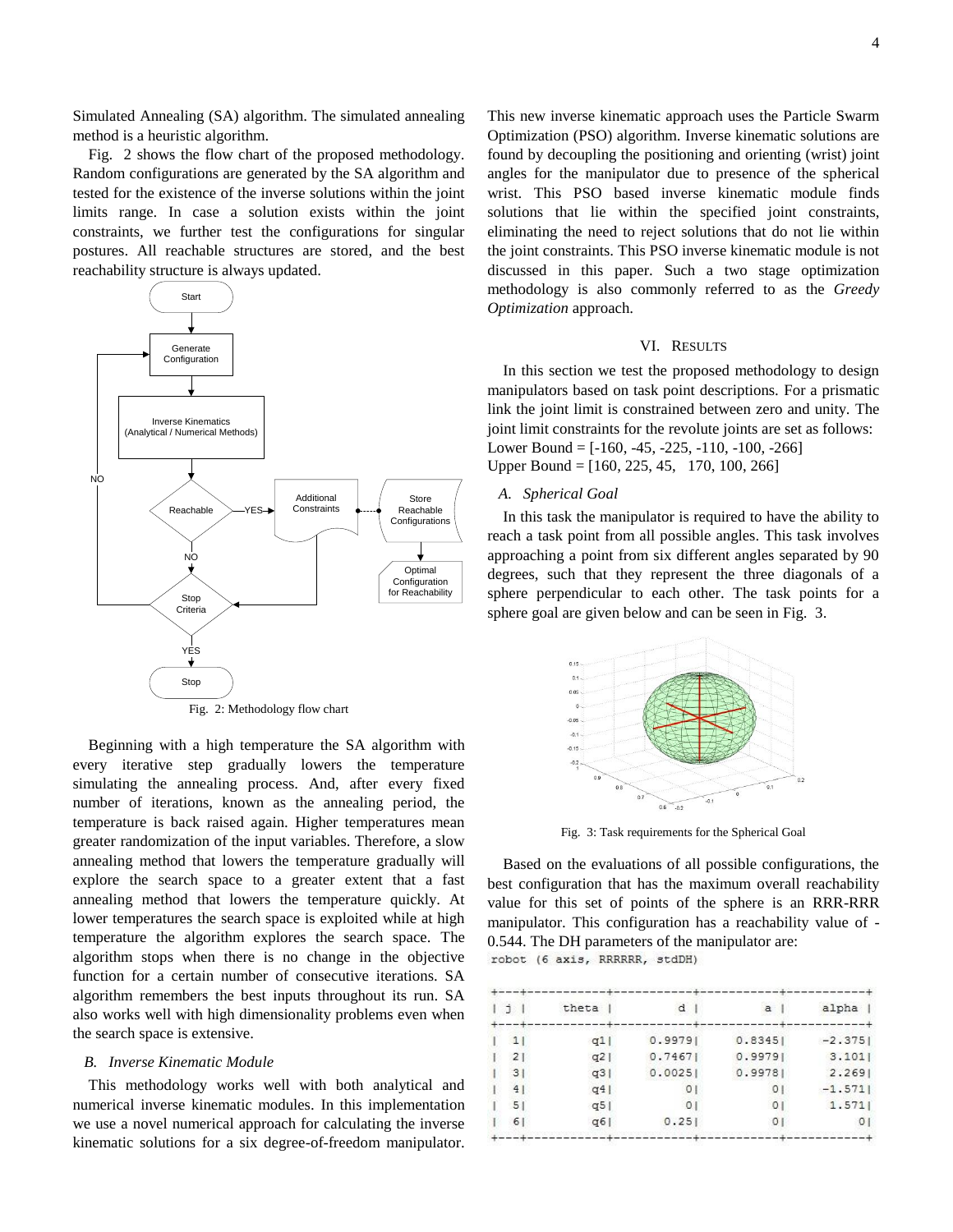Simulated Annealing (SA) algorithm. The simulated annealing method is a heuristic algorithm.

[Fig. 2](#page-3-0) shows the flow chart of the proposed methodology. Random configurations are generated by the SA algorithm and tested for the existence of the inverse solutions within the joint limits range. In case a solution exists within the joint constraints, we further test the configurations for singular postures. All reachable structures are stored, and the best reachability structure is always updated.



<span id="page-3-0"></span>Beginning with a high temperature the SA algorithm with every iterative step gradually lowers the temperature simulating the annealing process. And, after every fixed number of iterations, known as the annealing period, the temperature is back raised again. Higher temperatures mean greater randomization of the input variables. Therefore, a slow annealing method that lowers the temperature gradually will explore the search space to a greater extent that a fast annealing method that lowers the temperature quickly. At lower temperatures the search space is exploited while at high temperature the algorithm explores the search space. The algorithm stops when there is no change in the objective function for a certain number of consecutive iterations. SA algorithm remembers the best inputs throughout its run. SA also works well with high dimensionality problems even when the search space is extensive.

# *B. Inverse Kinematic Module*

This methodology works well with both analytical and numerical inverse kinematic modules. In this implementation we use a novel numerical approach for calculating the inverse kinematic solutions for a six degree-of-freedom manipulator.

4

This new inverse kinematic approach uses the Particle Swarm Optimization (PSO) algorithm. Inverse kinematic solutions are found by decoupling the positioning and orienting (wrist) joint angles for the manipulator due to presence of the spherical wrist. This PSO based inverse kinematic module finds solutions that lie within the specified joint constraints, eliminating the need to reject solutions that do not lie within the joint constraints. This PSO inverse kinematic module is not discussed in this paper. Such a two stage optimization methodology is also commonly referred to as the *Greedy Optimization* approach.

# VI. RESULTS

In this section we test the proposed methodology to design manipulators based on task point descriptions. For a prismatic link the joint limit is constrained between zero and unity. The joint limit constraints for the revolute joints are set as follows: Lower Bound =  $[-160, -45, -225, -110, -100, -266]$ Upper Bound = [160, 225, 45, 170, 100, 266]

# *A. Spherical Goal*

In this task the manipulator is required to have the ability to reach a task point from all possible angles. This task involves approaching a point from six different angles separated by 90 degrees, such that they represent the three diagonals of a sphere perpendicular to each other. The task points for a sphere goal are given below and can be seen in [Fig. 3.](#page-3-1)



Fig. 3: Task requirements for the Spherical Goal

<span id="page-3-1"></span>Based on the evaluations of all possible configurations, the best configuration that has the maximum overall reachability value for this set of points of the sphere is an RRR-RRR manipulator. This configuration has a reachability value of - 0.544. The DH parameters of the manipulator are:robot (6 axis, RRRRRR, stdDH)

| j.             | theta | d          | a          | alpha    |
|----------------|-------|------------|------------|----------|
|                |       |            |            |          |
| 11             | q1    | 0.99791    | 0.8345     | $-2.375$ |
| 21             | q2    | 0.7467     | 0.99791    | 3.1011   |
| 3              | q3    | 0.00251    | 0.9978     | 2.2691   |
| 41             | q4    | $\circ$    | 0          | $-1.571$ |
| 51             | q5    | $^{\circ}$ | $^{\circ}$ | 1.5711   |
| 6 <sup>1</sup> | q6    | 0.251      | U.         | 0.       |
|                |       |            |            |          |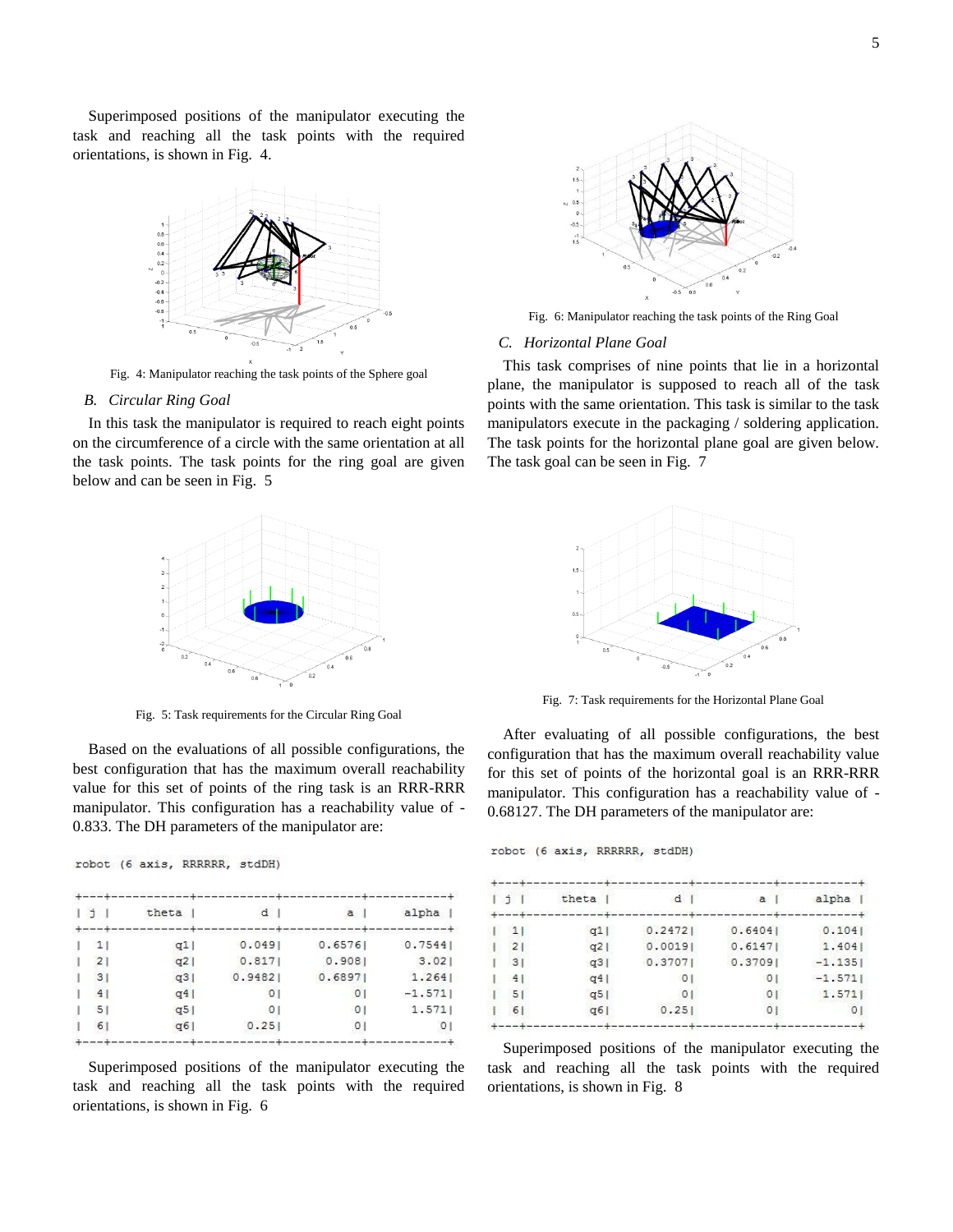Superimposed positions of the manipulator executing the task and reaching all the task points with the required orientations, is shown in [Fig. 4.](#page-4-0)



Fig. 4: Manipulator reaching the task points of the Sphere goal

#### <span id="page-4-0"></span>*B. Circular Ring Goal*

In this task the manipulator is required to reach eight points on the circumference of a circle with the same orientation at all the task points. The task points for the ring goal are given below and can be seen in [Fig. 5](#page-4-1)



Fig. 5: Task requirements for the Circular Ring Goal

<span id="page-4-1"></span>Based on the evaluations of all possible configurations, the best configuration that has the maximum overall reachability value for this set of points of the ring task is an RRR-RRR manipulator. This configuration has a reachability value of - 0.833. The DH parameters of the manipulator are:

| robot (6 axis, |  | RRRRRR, | stdDH) |
|----------------|--|---------|--------|
|----------------|--|---------|--------|

|    | theta | d      | a              | alpha    |
|----|-------|--------|----------------|----------|
|    |       |        |                |          |
| 11 | q1    | 0.0491 | 0.6576         | 0.7544   |
| 21 | q2    | 0.8171 | 0.9081         | 3.02     |
| 31 | q3    | 0.9482 | 0.68971        | 1.264    |
| 41 | q4    | 01     | 0 <sup>1</sup> | $-1.571$ |
| 51 | q5    | 0      | $\circ$        | 1.571    |
| 6  | q6    | 0.25   | $\Omega$       |          |
|    |       |        |                |          |

Superimposed positions of the manipulator executing the task and reaching all the task points with the required orientations, is shown in [Fig. 6](#page-4-2)



Fig. 6: Manipulator reaching the task points of the Ring Goal

# <span id="page-4-2"></span>*C. Horizontal Plane Goal*

This task comprises of nine points that lie in a horizontal plane, the manipulator is supposed to reach all of the task points with the same orientation. This task is similar to the task manipulators execute in the packaging / soldering application. The task points for the horizontal plane goal are given below. The task goal can be seen in [Fig. 7](#page-4-3)



Fig. 7: Task requirements for the Horizontal Plane Goal

<span id="page-4-3"></span>After evaluating of all possible configurations, the best configuration that has the maximum overall reachability value for this set of points of the horizontal goal is an RRR-RRR manipulator. This configuration has a reachability value of - 0.68127. The DH parameters of the manipulator are:

robot (6 axis, RRRRRR, stdDH)

|                | theta |                   | а       | alpha     |
|----------------|-------|-------------------|---------|-----------|
|                |       | -----------       |         |           |
|                | q1    | 0.2472            | 0.6404  | 0.1041    |
| 21             | q2    | 0.00191           | 0.6147  | 1.404     |
| 3 <sub>1</sub> | q3    | 0.3707            | 0.37091 | $-1.135$  |
| $\frac{4}{3}$  | q4    | 0                 | U       | $-1.5711$ |
| 51             | q51   | $\cdot$ 0 $\cdot$ | 0       | 1.5711    |
| 61             | q6    | 0.25              |         |           |
|                |       |                   |         |           |

Superimposed positions of the manipulator executing the task and reaching all the task points with the required orientations, is shown in [Fig. 8](#page-5-18)